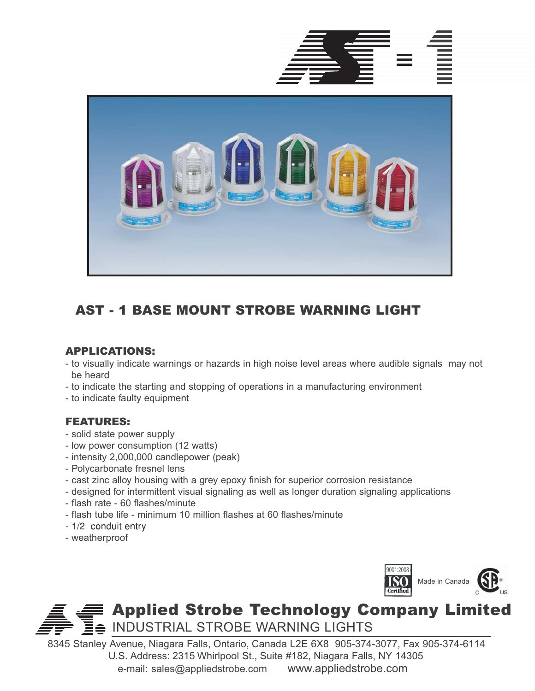



# AST - 1 BASE MOUNT STROBE WARNING LIGHT

## APPLICATIONS:

- to visually indicate warnings or hazards in high noise level areas where audible signals may not be heard
- to indicate the starting and stopping of operations in a manufacturing environment
- to indicate faulty equipment

## FEATURES:

- solid state power supply
- low power consumption (12 watts)
- intensity 2,000,000 candlepower (peak)
- Polycarbonate fresnel lens
- cast zinc alloy housing with a grey epoxy finish for superior corrosion resistance
- designed for intermittent visual signaling as well as longer duration signaling applications
- flash rate 60 flashes/minute
- flash tube life minimum 10 million flashes at 60 flashes/minute
- 1/2 conduit entry
- weatherproof



# Applied Strobe Technology Company Limited  $\oplus$  INDUSTRIAL STROBE WARNING LIGHTS

8345 Stanley Avenue, Niagara Falls, Ontario, Canada L2E 6X8 905-374-3077, Fax 905-374-6114 U.S. Address: 2315 Whirlpool St., Suite #182, Niagara Falls, NY 14305 e-mail: sales@appliedstrobe.com www.appliedstrobe.com